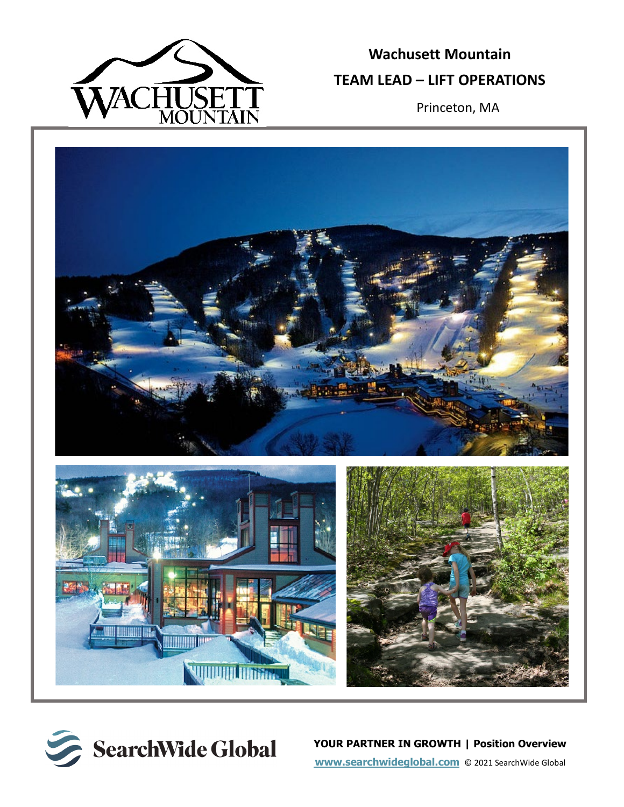

# **Wachusett Mountain TEAM LEAD – LIFT OPERATIONS**

Princeton, MA





**YOUR PARTNER IN GROWTH | Position Overview [www.searchwideglobal.com](http://www.searchwideglobal.com/)** © 2021 SearchWide Global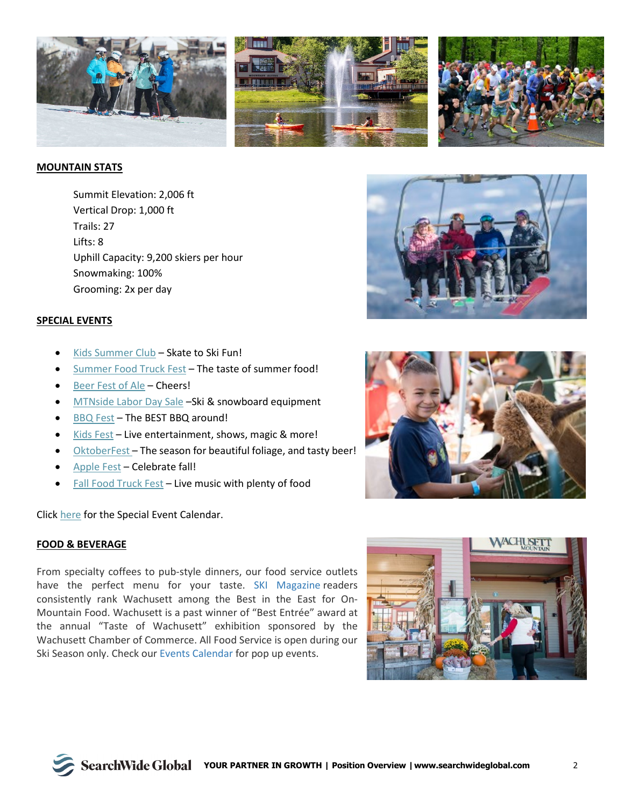

## **MOUNTAIN STATS**

Summit Elevation: 2,006 ft Vertical Drop: 1,000 ft Trails: 27 Lifts: 8 Uphill Capacity: 9,200 skiers per hour Snowmaking: 100% Grooming: 2x per day

#### **SPECIAL EVENTS**

- [Kids Summer Club](https://www.wachusett.com/Events-Racing/On-Mountain-Events/Kids-Summer-Club.aspx) Skate to Ski Fun!
- [Summer Food Truck Fest](https://www.wachusett.com/Events-Racing/On-Mountain-Events/Summer-Food-Truck-Festival.aspx) The taste of summer food!
- [Beer Fest of Ale](https://www.wachusett.com/Events-Racing/On-Mountain-Events/Beer-Fest-of-Ale.aspx) Cheers!
- [MTNside Labor Day Sale](https://www.wachusett.com/Events-Racing/On-Mountain-Events/Labor-Day-Sale.aspx) -Ski & snowboard equipment
- [BBQ](https://www.wachusett.com/Events-Racing/On-Mountain-Events/BBQ-Fest.aspx) Fest The BEST BBQ around!
- [Kids Fest](https://www.wachusett.com/Events-Racing/On-Mountain-Events/KidsFest.aspx) Live entertainment, shows, magic & more!
- [OktoberFest](https://www.wachusett.com/Events-Racing/On-Mountain-Events/OktoberFest.aspx) The season for beautiful foliage, and tasty beer!
- [Apple Fest](https://www.wachusett.com/Events-Racing/On-Mountain-Events/35th-Annual-AppleFest.aspx) Celebrate fall!
- [Fall Food Truck Fest](https://www.wachusett.com/Events-Racing/On-Mountain-Events/Fall-Food-Truck-Festival.aspx) Live music with plenty of food

Click [here](https://www.wachusett.com/Events-Racing/On-Mountain-Events/Event-Calendar.aspx) for the Special Event Calendar.

#### **FOOD & BEVERAGE**

From specialty coffees to pub-style dinners, our food service outlets have the perfect menu for your taste. [SKI Magazine](https://www.skimag.com/ski-resort-life/wachusett-massachusetts) readers consistently rank Wachusett among the Best in the East for On-Mountain Food. Wachusett is a past winner of "Best Entrée" award at the annual "Taste of Wachusett" exhibition sponsored by the Wachusett Chamber of Commerce. All Food Service is open during our Ski Season only. Check our [Events Calendar](https://www.wachusett.com/Events-Racing/On-Mountain-Events/Event-Calendar.aspx) for pop up events.





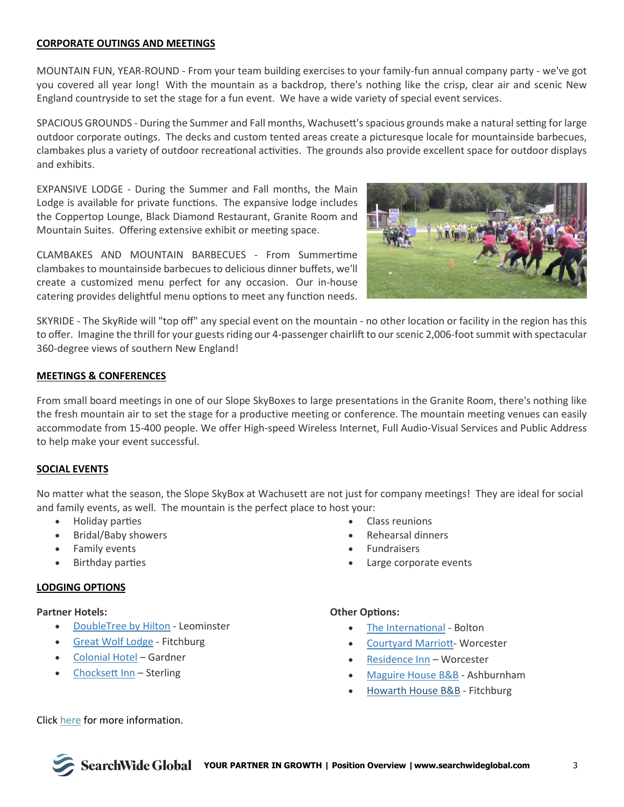## **CORPORATE OUTINGS AND MEETINGS**

MOUNTAIN FUN, YEAR-ROUND - From your team building exercises to your family-fun annual company party - we've got you covered all year long! With the mountain as a backdrop, there's nothing like the crisp, clear air and scenic New England countryside to set the stage for a fun event. We have a wide variety of special event services.

SPACIOUS GROUNDS - During the Summer and Fall months, Wachusett's spacious grounds make a natural setting for large outdoor corporate outings. The decks and custom tented areas create a picturesque locale for mountainside barbecues, clambakes plus a variety of outdoor recreational activities. The grounds also provide excellent space for outdoor displays and exhibits.

EXPANSIVE LODGE - During the Summer and Fall months, the Main Lodge is available for private functions. The expansive lodge includes the Coppertop Lounge, Black Diamond Restaurant, Granite Room and Mountain Suites. Offering extensive exhibit or meeting space.

CLAMBAKES AND MOUNTAIN BARBECUES - From Summertime clambakes to mountainside barbecues to delicious dinner buffets, we'll create a customized menu perfect for any occasion. Our in-house catering provides delightful menu options to meet any function needs.



SKYRIDE - The SkyRide will "top off" any special event on the mountain - no other location or facility in the region has this to offer. Imagine the thrill for your guests riding our 4-passenger chairlift to our scenic 2,006-foot summit with spectacular 360-degree views of southern New England!

#### **MEETINGS & CONFERENCES**

From small board meetings in one of our Slope SkyBoxes to large presentations in the Granite Room, there's nothing like the fresh mountain air to set the stage for a productive meeting or conference. The mountain meeting venues can easily accommodate from 15-400 people. We offer High-speed Wireless Internet, Full Audio-Visual Services and Public Address to help make your event successful.

## **SOCIAL EVENTS**

No matter what the season, the Slope SkyBox at Wachusett are not just for company meetings! They are ideal for social and family events, as well. The mountain is the perfect place to host your:

- Holiday parties
- Bridal/Baby showers
- Family events
- Birthday parties

#### **LODGING OPTIONS**

#### **Partner Hotels:**

- [DoubleTree by Hilton](http://doubletree3.hilton.com/en/hotels/massachusetts/doubletree-by-hilton-hotel-leominster-ORHLEDT/index.html) Leominster
- [Great Wolf Lodge](http://www.greatwolf.com/newengland/waterpark) Fitchburg
- [Colonial Hotel](http://www.colonial-hotel.com/) Gardner
- Chocksett Inn Sterling
- Class reunions
- Rehearsal dinners
- **Fundraisers**
- Large corporate events

#### **Other Options:**

- The International Bolton
- [Courtyard Marriot](http://www.marriott.com/hotel-search.mi)t- Worcester
- [Residence Inn](http://www.marriott.com/hotels/travel/bosri-residence-inn-worcester/) Worcester
- [Maguire House B&B](http://www.maguirehouse.com/) Ashburnham
- [Howarth House B&B](http://www.howarthhouse.com/) Fitchburg

Click [here](https://www.wachusett.com/) for more information.

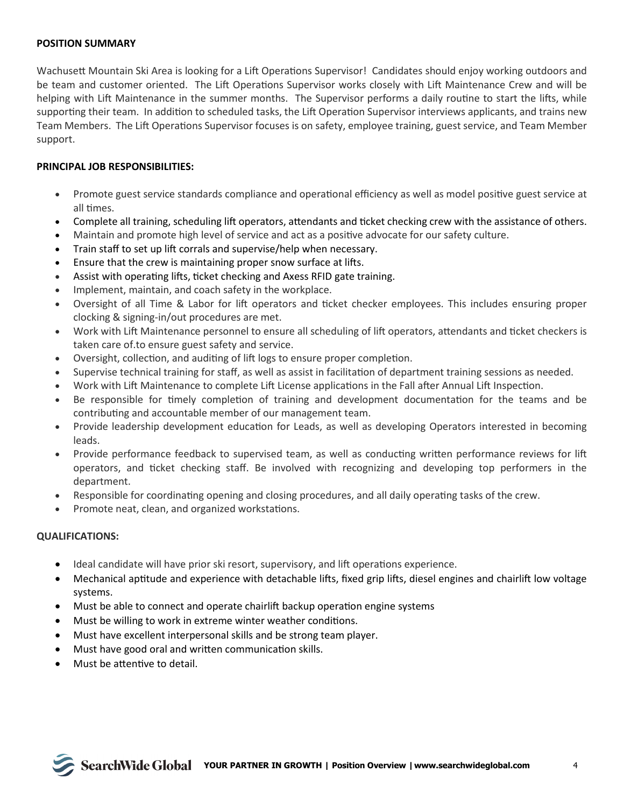## **POSITION SUMMARY**

Wachusett Mountain Ski Area is looking for a Lift Operations Supervisor! Candidates should enjoy working outdoors and be team and customer oriented. The Lift Operations Supervisor works closely with Lift Maintenance Crew and will be helping with Lift Maintenance in the summer months. The Supervisor performs a daily routine to start the lifts, while supporting their team. In addition to scheduled tasks, the Lift Operation Supervisor interviews applicants, and trains new Team Members. The Lift Operations Supervisor focuses is on safety, employee training, guest service, and Team Member support.

## **PRINCIPAL JOB RESPONSIBILITIES:**

- Promote guest service standards compliance and operational efficiency as well as model positive guest service at all times.
- Complete all training, scheduling lift operators, attendants and ticket checking crew with the assistance of others.
- Maintain and promote high level of service and act as a positive advocate for our safety culture.
- Train staff to set up lift corrals and supervise/help when necessary.
- Ensure that the crew is maintaining proper snow surface at lifts.
- Assist with operating lifts, ticket checking and Axess RFID gate training.
- Implement, maintain, and coach safety in the workplace.
- Oversight of all Time & Labor for lift operators and ticket checker employees. This includes ensuring proper clocking & signing-in/out procedures are met.
- Work with Lift Maintenance personnel to ensure all scheduling of lift operators, attendants and ticket checkers is taken care of.to ensure guest safety and service.
- Oversight, collection, and auditing of lift logs to ensure proper completion.
- Supervise technical training for staff, as well as assist in facilitation of department training sessions as needed.
- Work with Lift Maintenance to complete Lift License applications in the Fall after Annual Lift Inspection.
- Be responsible for timely completion of training and development documentation for the teams and be contributing and accountable member of our management team.
- Provide leadership development education for Leads, as well as developing Operators interested in becoming leads.
- Provide performance feedback to supervised team, as well as conducting written performance reviews for lift operators, and �cket checking staff. Be involved with recognizing and developing top performers in the department.
- Responsible for coordinating opening and closing procedures, and all daily operating tasks of the crew.
- Promote neat, clean, and organized workstations.

## **QUALIFICATIONS:**

- Ideal candidate will have prior ski resort, supervisory, and lift operations experience.
- Mechanical aptitude and experience with detachable lifts, fixed grip lifts, diesel engines and chairlift low voltage systems.
- Must be able to connect and operate chairlift backup operation engine systems
- Must be willing to work in extreme winter weather conditions.
- Must have excellent interpersonal skills and be strong team player.
- Must have good oral and written communication skills.
- Must be attentive to detail.